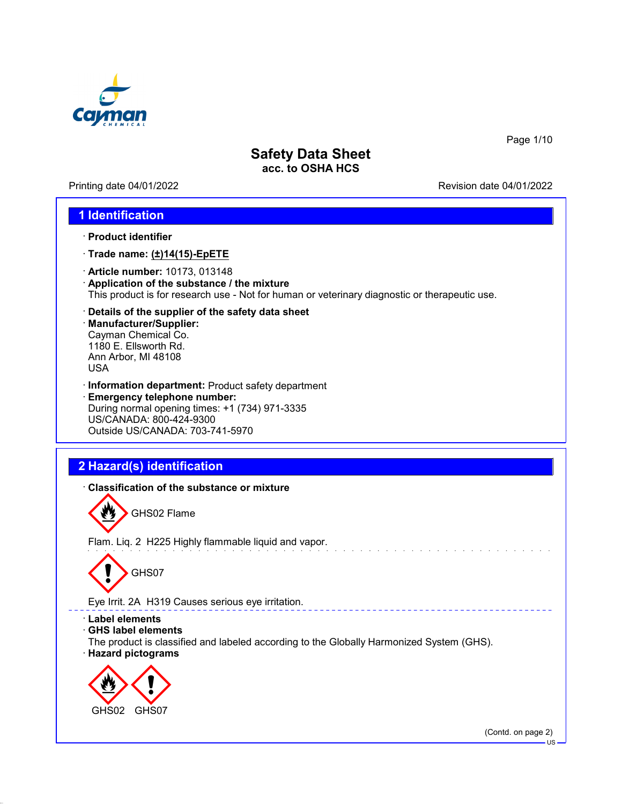

Printing date 04/01/2022 **Revision date 04/01/2022** 

Page 1/10

### **1 Identification**

- · **Product identifier**
- · **Trade name: (±)14(15)-EpETE**
- · **Article number:** 10173, 013148
- · **Application of the substance / the mixture** This product is for research use - Not for human or veterinary diagnostic or therapeutic use.
- · **Details of the supplier of the safety data sheet**
- · **Manufacturer/Supplier:** Cayman Chemical Co. 1180 E. Ellsworth Rd. Ann Arbor, MI 48108 USA
- · **Information department:** Product safety department · **Emergency telephone number:** During normal opening times: +1 (734) 971-3335 US/CANADA: 800-424-9300 Outside US/CANADA: 703-741-5970

# **2 Hazard(s) identification**

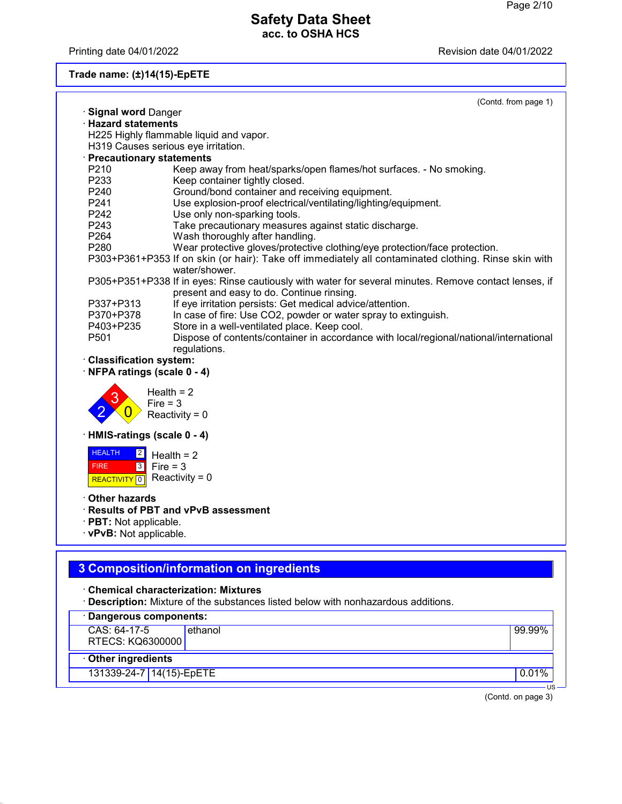Printing date 04/01/2022 **Printing date 04/01/2022** 

**Trade name: (±)14(15)-EpETE**

|                                                           |                                                                                                                                                                                                     | (Contd. from page 1) |
|-----------------------------------------------------------|-----------------------------------------------------------------------------------------------------------------------------------------------------------------------------------------------------|----------------------|
| <b>Signal word Danger</b>                                 |                                                                                                                                                                                                     |                      |
| · Hazard statements                                       |                                                                                                                                                                                                     |                      |
|                                                           | H225 Highly flammable liquid and vapor.                                                                                                                                                             |                      |
|                                                           | H319 Causes serious eye irritation.                                                                                                                                                                 |                      |
| · Precautionary statements                                |                                                                                                                                                                                                     |                      |
| P <sub>210</sub>                                          | Keep away from heat/sparks/open flames/hot surfaces. - No smoking.                                                                                                                                  |                      |
| P233                                                      | Keep container tightly closed.                                                                                                                                                                      |                      |
| P240                                                      | Ground/bond container and receiving equipment.                                                                                                                                                      |                      |
| P241                                                      | Use explosion-proof electrical/ventilating/lighting/equipment.                                                                                                                                      |                      |
| P <sub>242</sub>                                          | Use only non-sparking tools.                                                                                                                                                                        |                      |
| P243                                                      | Take precautionary measures against static discharge.                                                                                                                                               |                      |
| P <sub>264</sub>                                          | Wash thoroughly after handling.                                                                                                                                                                     |                      |
| P <sub>280</sub>                                          | Wear protective gloves/protective clothing/eye protection/face protection.<br>P303+P361+P353 If on skin (or hair): Take off immediately all contaminated clothing. Rinse skin with<br>water/shower. |                      |
|                                                           | P305+P351+P338 If in eyes: Rinse cautiously with water for several minutes. Remove contact lenses, if                                                                                               |                      |
| P337+P313                                                 | present and easy to do. Continue rinsing.<br>If eye irritation persists: Get medical advice/attention.                                                                                              |                      |
| P370+P378                                                 | In case of fire: Use CO2, powder or water spray to extinguish.                                                                                                                                      |                      |
| P403+P235                                                 | Store in a well-ventilated place. Keep cool.                                                                                                                                                        |                      |
| P <sub>501</sub>                                          | Dispose of contents/container in accordance with local/regional/national/international                                                                                                              |                      |
|                                                           | regulations.                                                                                                                                                                                        |                      |
| · Classification system:<br>NFPA ratings (scale 0 - 4)    |                                                                                                                                                                                                     |                      |
|                                                           | Health $= 2$<br>$Fire = 3$                                                                                                                                                                          |                      |
|                                                           | Reactivity = $0$                                                                                                                                                                                    |                      |
| · HMIS-ratings (scale 0 - 4)                              |                                                                                                                                                                                                     |                      |
| <b>HEALTH</b><br>$\boxed{2}$<br>$\sqrt{3}$<br><b>FIRE</b> | Health = $2$<br>Fire = $3$                                                                                                                                                                          |                      |
| REACTIVITY <sup>0</sup>                                   | Reactivity = $0$                                                                                                                                                                                    |                      |
| <b>Other hazards</b>                                      |                                                                                                                                                                                                     |                      |
|                                                           | <b>Results of PBT and vPvB assessment</b>                                                                                                                                                           |                      |
| · PBT: Not applicable.                                    |                                                                                                                                                                                                     |                      |
| · vPvB: Not applicable.                                   |                                                                                                                                                                                                     |                      |
|                                                           | 3 Composition/information on ingredients                                                                                                                                                            |                      |
|                                                           |                                                                                                                                                                                                     |                      |
|                                                           | <b>Chemical characterization: Mixtures</b><br>· Description: Mixture of the substances listed below with nonhazardous additions.                                                                    |                      |
| · Dangerous components:                                   |                                                                                                                                                                                                     |                      |
| CAS: 64-17-5                                              | ethanol                                                                                                                                                                                             | 99.99%               |
| RTECS: KQ6300000                                          |                                                                                                                                                                                                     |                      |
| <b>Other ingredients</b>                                  |                                                                                                                                                                                                     |                      |
| 131339-24-7 14(15)-EpETE                                  |                                                                                                                                                                                                     | 0.01%                |
|                                                           |                                                                                                                                                                                                     | $US -$               |
|                                                           |                                                                                                                                                                                                     | (Contd. on page 3)   |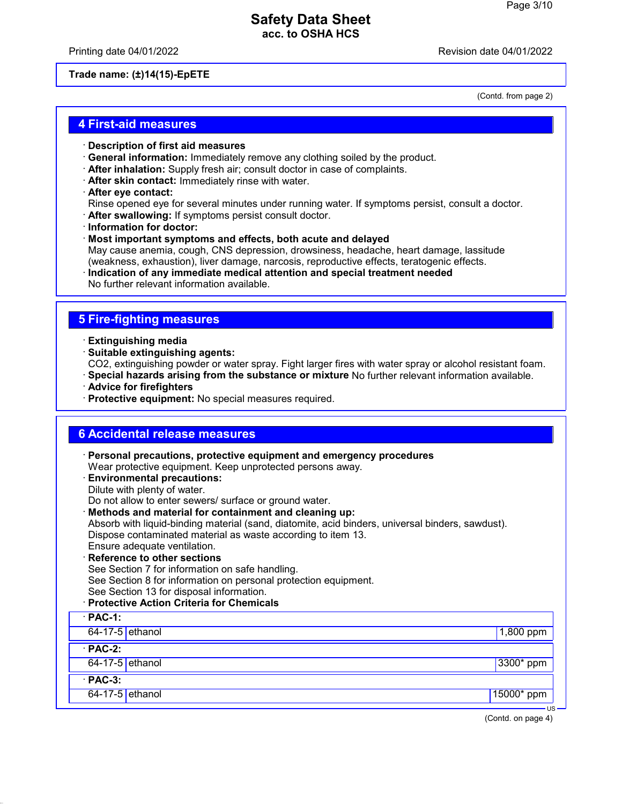Printing date 04/01/2022 Revision date 04/01/2022

(Contd. from page 2)

#### **Trade name: (±)14(15)-EpETE**

### **4 First-aid measures**

- · **Description of first aid measures**
- · **General information:** Immediately remove any clothing soiled by the product.
- · **After inhalation:** Supply fresh air; consult doctor in case of complaints.
- · **After skin contact:** Immediately rinse with water.
- · **After eye contact:**

Rinse opened eye for several minutes under running water. If symptoms persist, consult a doctor.

- · **After swallowing:** If symptoms persist consult doctor.
- · **Information for doctor:**
- · **Most important symptoms and effects, both acute and delayed** May cause anemia, cough, CNS depression, drowsiness, headache, heart damage, lassitude (weakness, exhaustion), liver damage, narcosis, reproductive effects, teratogenic effects.
- · **Indication of any immediate medical attention and special treatment needed** No further relevant information available.

### **5 Fire-fighting measures**

- · **Extinguishing media**
- · **Suitable extinguishing agents:**
- CO2, extinguishing powder or water spray. Fight larger fires with water spray or alcohol resistant foam.
- · **Special hazards arising from the substance or mixture** No further relevant information available.
- · **Advice for firefighters**
- · **Protective equipment:** No special measures required.

### **6 Accidental release measures**

· **Personal precautions, protective equipment and emergency procedures** Wear protective equipment. Keep unprotected persons away. · **Environmental precautions:** Dilute with plenty of water. Do not allow to enter sewers/ surface or ground water. · **Methods and material for containment and cleaning up:** Absorb with liquid-binding material (sand, diatomite, acid binders, universal binders, sawdust). Dispose contaminated material as waste according to item 13. Ensure adequate ventilation. **Reference to other sections** See Section 7 for information on safe handling. See Section 8 for information on personal protection equipment. See Section 13 for disposal information.

#### · **Protective Action Criteria for Chemicals**

| $\cdot$ PAC-1:    |              |
|-------------------|--------------|
| $64-17-5$ ethanol | $1,800$ ppm  |
| $PAC-2$ :         |              |
| 64-17-5 ethanol   | $ 3300*$ ppm |
| $PAC-3$ :         |              |
| 64-17-5 ethanol   | $15000*$ ppm |

(Contd. on page 4)

US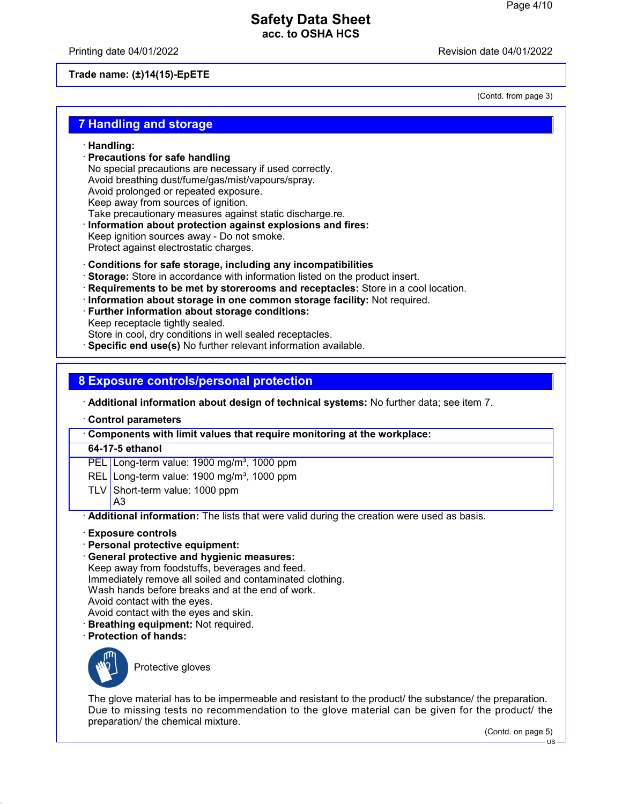Printing date 04/01/2022 Revision date 04/01/2022

**Trade name: (±)14(15)-EpETE**

(Contd. from page 3)

### **7 Handling and storage**

- · **Handling:**
- · **Precautions for safe handling**
- No special precautions are necessary if used correctly. Avoid breathing dust/fume/gas/mist/vapours/spray.
- Avoid prolonged or repeated exposure.
- Keep away from sources of ignition.
- Take precautionary measures against static discharge.re.
- · **Information about protection against explosions and fires:**
- Keep ignition sources away Do not smoke.
- Protect against electrostatic charges.
- · **Conditions for safe storage, including any incompatibilities**
- · **Storage:** Store in accordance with information listed on the product insert.
- · **Requirements to be met by storerooms and receptacles:** Store in a cool location.
- · **Information about storage in one common storage facility:** Not required.
- · **Further information about storage conditions:**
- Keep receptacle tightly sealed.
- Store in cool, dry conditions in well sealed receptacles.
- · **Specific end use(s)** No further relevant information available.

### **8 Exposure controls/personal protection**

· **Additional information about design of technical systems:** No further data; see item 7.

· **Control parameters**

· **Components with limit values that require monitoring at the workplace:**

#### **64-17-5 ethanol**

PEL Long-term value: 1900 mg/m<sup>3</sup>, 1000 ppm

- REL Long-term value: 1900 mg/m<sup>3</sup>, 1000 ppm
- TLV Short-term value: 1000 ppm A3

· **Additional information:** The lists that were valid during the creation were used as basis.

- · **Exposure controls**
- · **Personal protective equipment:**
- · **General protective and hygienic measures:**

Keep away from foodstuffs, beverages and feed. Immediately remove all soiled and contaminated clothing. Wash hands before breaks and at the end of work. Avoid contact with the eyes. Avoid contact with the eyes and skin.

- · **Breathing equipment:** Not required.
- · **Protection of hands:**



Protective gloves

The glove material has to be impermeable and resistant to the product/ the substance/ the preparation. Due to missing tests no recommendation to the glove material can be given for the product/ the preparation/ the chemical mixture.

(Contd. on page 5)

 $\overline{11}$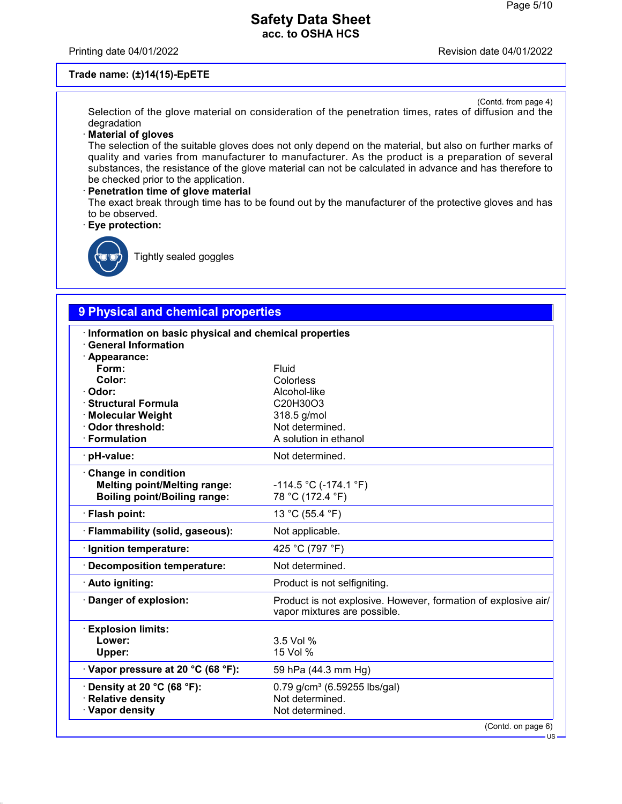Printing date 04/01/2022 **Printing date 04/01/2022** 

#### **Trade name: (±)14(15)-EpETE**

(Contd. from page 4) Selection of the glove material on consideration of the penetration times, rates of diffusion and the degradation

#### · **Material of gloves**

The selection of the suitable gloves does not only depend on the material, but also on further marks of quality and varies from manufacturer to manufacturer. As the product is a preparation of several substances, the resistance of the glove material can not be calculated in advance and has therefore to be checked prior to the application.

#### · **Penetration time of glove material** The exact break through time has to be found out by the manufacturer of the protective gloves and has to be observed.

· **Eye protection:**



Tightly sealed goggles

# **9 Physical and chemical properties**

| Information on basic physical and chemical properties<br><b>General Information</b><br>· Appearance:<br>Form:<br>Color:<br>· Odor:<br>· Structural Formula<br>· Molecular Weight<br><b>Odor threshold:</b><br>· Formulation | Fluid<br>Colorless<br>Alcohol-like<br>C20H30O3<br>318.5 g/mol<br>Not determined.<br>A solution in ethanol |
|-----------------------------------------------------------------------------------------------------------------------------------------------------------------------------------------------------------------------------|-----------------------------------------------------------------------------------------------------------|
| · pH-value:                                                                                                                                                                                                                 | Not determined.                                                                                           |
| Change in condition<br><b>Melting point/Melting range:</b><br><b>Boiling point/Boiling range:</b>                                                                                                                           | $-114.5$ °C (-174.1 °F)<br>78 °C (172.4 °F)                                                               |
| · Flash point:                                                                                                                                                                                                              | 13 °C (55.4 °F)                                                                                           |
| · Flammability (solid, gaseous):                                                                                                                                                                                            | Not applicable.                                                                                           |
| Ignition temperature:                                                                                                                                                                                                       | 425 °C (797 °F)                                                                                           |
| <b>Decomposition temperature:</b>                                                                                                                                                                                           | Not determined.                                                                                           |
| · Auto igniting:                                                                                                                                                                                                            | Product is not selfigniting.                                                                              |
| Danger of explosion:                                                                                                                                                                                                        | Product is not explosive. However, formation of explosive air/<br>vapor mixtures are possible.            |
| <b>Explosion limits:</b><br>Lower:<br>Upper:                                                                                                                                                                                | 3.5 Vol %<br>15 Vol %                                                                                     |
| Vapor pressure at 20 °C (68 °F):                                                                                                                                                                                            | 59 hPa (44.3 mm Hg)                                                                                       |
| Density at 20 °C (68 °F):<br><b>Relative density</b><br>· Vapor density                                                                                                                                                     | 0.79 g/cm <sup>3</sup> (6.59255 lbs/gal)<br>Not determined.<br>Not determined.                            |
|                                                                                                                                                                                                                             | (Contd. on page 6)<br><b>US</b>                                                                           |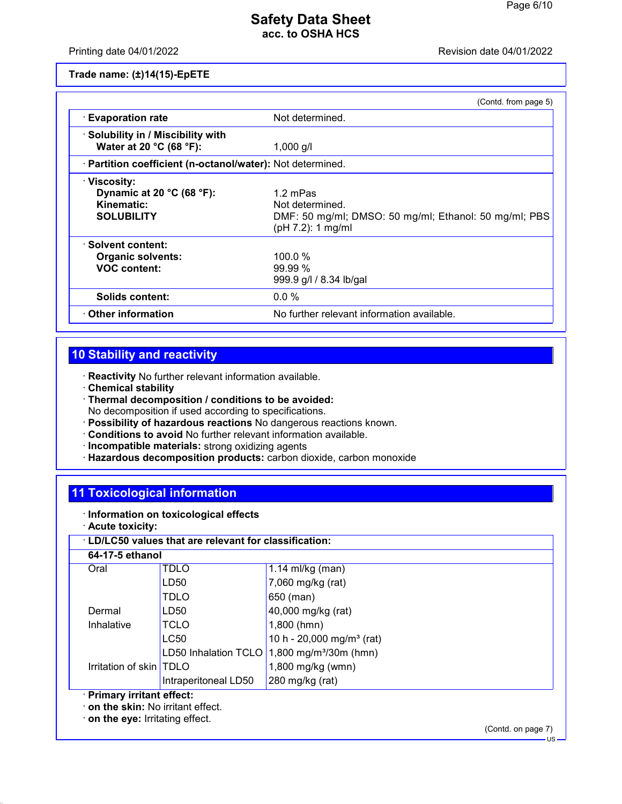Printing date 04/01/2022 Revision date 04/01/2022

**Trade name: (±)14(15)-EpETE**

|                                                                                                  | (Contd. from page 5)                                                                                      |
|--------------------------------------------------------------------------------------------------|-----------------------------------------------------------------------------------------------------------|
| <b>Evaporation rate</b>                                                                          | Not determined.                                                                                           |
| · Solubility in / Miscibility with<br>Water at 20 °C (68 °F):                                    | $1,000$ g/l                                                                                               |
| · Partition coefficient (n-octanol/water): Not determined.                                       |                                                                                                           |
| · Viscosity:<br>Dynamic at 20 $^{\circ}$ C (68 $^{\circ}$ F):<br>Kinematic:<br><b>SOLUBILITY</b> | 1.2 mPas<br>Not determined.<br>DMF: 50 mg/ml; DMSO: 50 mg/ml; Ethanol: 50 mg/ml; PBS<br>(pH 7.2): 1 mg/ml |
| · Solvent content:<br><b>Organic solvents:</b><br><b>VOC content:</b>                            | 100.0%<br>$99.99\%$<br>999.9 g/l / 8.34 lb/gal                                                            |
| Solids content:                                                                                  | $0.0\%$                                                                                                   |
| $\cdot$ Other information                                                                        | No further relevant information available.                                                                |

# **10 Stability and reactivity**

· **Reactivity** No further relevant information available.

- · **Chemical stability**
- · **Thermal decomposition / conditions to be avoided:** No decomposition if used according to specifications.
- · **Possibility of hazardous reactions** No dangerous reactions known.
- · **Conditions to avoid** No further relevant information available.
- · **Incompatible materials:** strong oxidizing agents
- · **Hazardous decomposition products:** carbon dioxide, carbon monoxide

# **11 Toxicological information**

- · **Information on toxicological effects**
- · **Acute toxicity:**

#### · **LD/LC50 values that are relevant for classification:**

| 64-17-5 ethanol                                     |                      |                                       |
|-----------------------------------------------------|----------------------|---------------------------------------|
| Oral                                                | <b>TDLO</b>          | 1.14 ml/kg (man)                      |
|                                                     | LD50                 | 7,060 mg/kg (rat)                     |
|                                                     | TDLO                 | 650 (man)                             |
| Dermal                                              | LD50                 | 40,000 mg/kg (rat)                    |
| Inhalative                                          | <b>TCLO</b>          | $1,800$ (hmn)                         |
|                                                     | <b>LC50</b>          | 10 h - 20,000 mg/m <sup>3</sup> (rat) |
|                                                     | LD50 Inhalation TCLO | 1,800 mg/m <sup>3</sup> /30m (hmn)    |
| Irritation of skin TDLO                             |                      | 1,800 mg/kg (wmn)                     |
|                                                     | Intraperitoneal LD50 | 280 mg/kg (rat)                       |
| <b>But as a search with a search of Contact and</b> |                      |                                       |

### · **Primary irritant effect:**

· **on the skin:** No irritant effect.

· **on the eye:** Irritating effect.

(Contd. on page 7)

US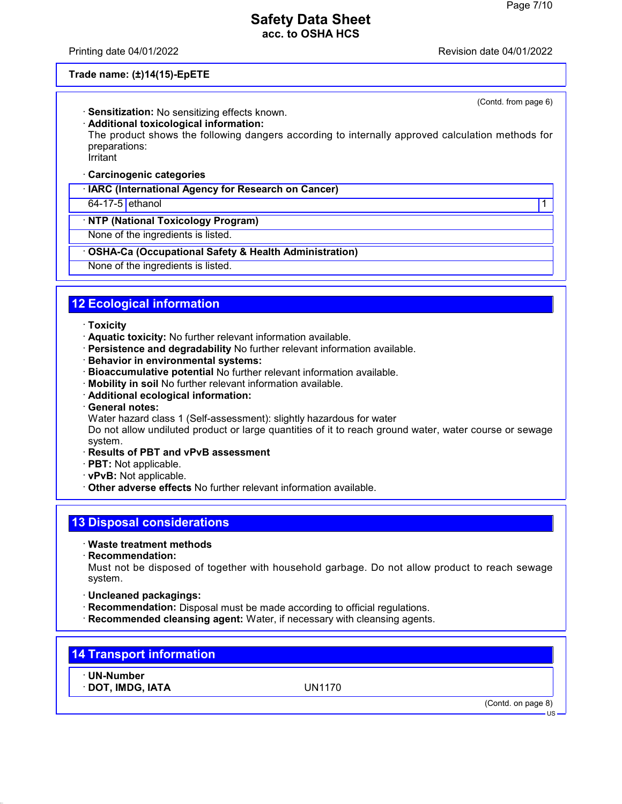Printing date 04/01/2022 Revision date 04/01/2022

(Contd. from page 6)

#### **Trade name: (±)14(15)-EpETE**

- · **Sensitization:** No sensitizing effects known.
- · **Additional toxicological information:**

The product shows the following dangers according to internally approved calculation methods for preparations:

Irritant

### · **Carcinogenic categories**

· **IARC (International Agency for Research on Cancer)**

### 64-17-5 ethanol 1

#### · **NTP (National Toxicology Program)**

None of the ingredients is listed.

#### · **OSHA-Ca (Occupational Safety & Health Administration)**

None of the ingredients is listed.

# **12 Ecological information**

#### · **Toxicity**

- · **Aquatic toxicity:** No further relevant information available.
- · **Persistence and degradability** No further relevant information available.
- · **Behavior in environmental systems:**
- · **Bioaccumulative potential** No further relevant information available.
- · **Mobility in soil** No further relevant information available.
- · **Additional ecological information:**
- · **General notes:**
- Water hazard class 1 (Self-assessment): slightly hazardous for water

Do not allow undiluted product or large quantities of it to reach ground water, water course or sewage system.

- · **Results of PBT and vPvB assessment**
- · **PBT:** Not applicable.
- · **vPvB:** Not applicable.
- · **Other adverse effects** No further relevant information available.

## **13 Disposal considerations**

- · **Waste treatment methods**
- · **Recommendation:**

Must not be disposed of together with household garbage. Do not allow product to reach sewage system.

- · **Uncleaned packagings:**
- · **Recommendation:** Disposal must be made according to official regulations.
- · **Recommended cleansing agent:** Water, if necessary with cleansing agents.

## **14 Transport information**

· **UN-Number**

· **DOT, IMDG, IATA** UN1170

(Contd. on page 8)

US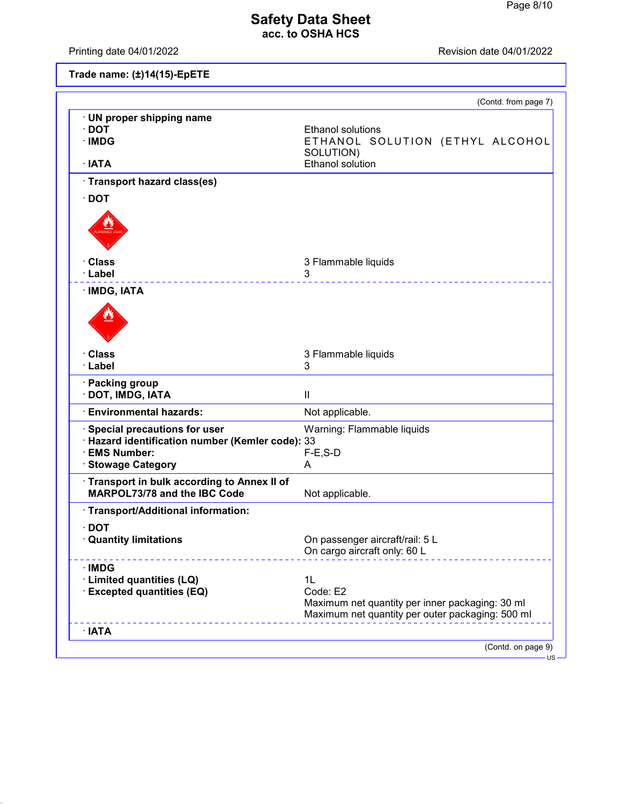Printing date 04/01/2022 **Revision date 04/01/2022** 

|  | Trade name: (±)14(15)-EpETE |
|--|-----------------------------|
|--|-----------------------------|

|                                                                                     | (Contd. from page 7)                                                                                            |
|-------------------------------------------------------------------------------------|-----------------------------------------------------------------------------------------------------------------|
| · UN proper shipping name<br>$\cdot$ DOT                                            | <b>Ethanol solutions</b>                                                                                        |
| · IMDG                                                                              | ETHANOL SOLUTION (ETHYL ALCOHOL<br>SOLUTION)                                                                    |
| · IATA                                                                              | Ethanol solution                                                                                                |
| · Transport hazard class(es)                                                        |                                                                                                                 |
| $\cdot$ DOT                                                                         |                                                                                                                 |
|                                                                                     |                                                                                                                 |
| · Class                                                                             | 3 Flammable liquids                                                                                             |
| · Label                                                                             | 3<br><u>.</u>                                                                                                   |
| · IMDG, IATA                                                                        |                                                                                                                 |
|                                                                                     |                                                                                                                 |
| · Class                                                                             | 3 Flammable liquids                                                                                             |
| · Label                                                                             | 3                                                                                                               |
| · Packing group<br>· DOT, IMDG, IATA                                                | $\mathbf{H}$                                                                                                    |
| <b>Environmental hazards:</b>                                                       | Not applicable.                                                                                                 |
| Special precautions for user<br>· Hazard identification number (Kemler code): 33    | Warning: Flammable liquids                                                                                      |
| · EMS Number:                                                                       | $F-E$ , S-D                                                                                                     |
| <b>Stowage Category</b>                                                             | Α                                                                                                               |
| · Transport in bulk according to Annex II of<br><b>MARPOL73/78 and the IBC Code</b> | Not applicable.                                                                                                 |
| · Transport/Additional information:                                                 |                                                                                                                 |
| $\cdot$ DOT<br><b>Quantity limitations</b>                                          | On passenger aircraft/rail: 5 L                                                                                 |
|                                                                                     | On cargo aircraft only: 60 L                                                                                    |
| · IMDG                                                                              |                                                                                                                 |
| · Limited quantities (LQ)                                                           | 1L                                                                                                              |
| <b>Excepted quantities (EQ)</b>                                                     | Code: E2<br>Maximum net quantity per inner packaging: 30 ml<br>Maximum net quantity per outer packaging: 500 ml |
| $\cdot$ IATA                                                                        |                                                                                                                 |
|                                                                                     |                                                                                                                 |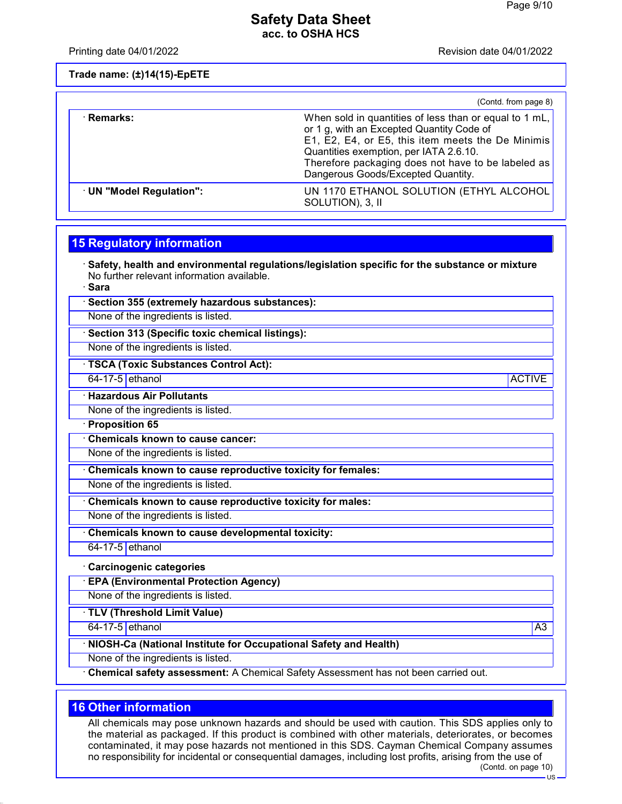Printing date 04/01/2022 Revision date 04/01/2022

**Trade name: (±)14(15)-EpETE**

|                          | (Contd. from page 8)                                                                                                                                                                                                                                                                           |
|--------------------------|------------------------------------------------------------------------------------------------------------------------------------------------------------------------------------------------------------------------------------------------------------------------------------------------|
| · Remarks:               | When sold in quantities of less than or equal to 1 mL,<br>or 1 g, with an Excepted Quantity Code of<br>E1, E2, E4, or E5, this item meets the De Minimis<br>Quantities exemption, per IATA 2.6.10.<br>Therefore packaging does not have to be labeled as<br>Dangerous Goods/Excepted Quantity. |
| · UN "Model Regulation": | UN 1170 ETHANOL SOLUTION (ETHYL ALCOHOL<br>SOLUTION), 3, II                                                                                                                                                                                                                                    |

### **15 Regulatory information**

· **Safety, health and environmental regulations/legislation specific for the substance or mixture** No further relevant information available.

· **Sara**

· **Section 355 (extremely hazardous substances):**

None of the ingredients is listed.

· **Section 313 (Specific toxic chemical listings):**

None of the ingredients is listed.

· **TSCA (Toxic Substances Control Act):**

64-17-5 ethanol ACTIVE

#### · **Hazardous Air Pollutants**

None of the ingredients is listed.

· **Proposition 65**

· **Chemicals known to cause cancer:**

None of the ingredients is listed.

· **Chemicals known to cause reproductive toxicity for females:**

None of the ingredients is listed.

· **Chemicals known to cause reproductive toxicity for males:**

None of the ingredients is listed.

· **Chemicals known to cause developmental toxicity:**

 $64-17-5$  ethanol

#### · **Carcinogenic categories**

· **EPA (Environmental Protection Agency)**

None of the ingredients is listed.

· **TLV (Threshold Limit Value)**

**64-17-5 ethanol** A3

### · **NIOSH-Ca (National Institute for Occupational Safety and Health)**

None of the ingredients is listed.

· **Chemical safety assessment:** A Chemical Safety Assessment has not been carried out.

### **16 Other information**

All chemicals may pose unknown hazards and should be used with caution. This SDS applies only to the material as packaged. If this product is combined with other materials, deteriorates, or becomes contaminated, it may pose hazards not mentioned in this SDS. Cayman Chemical Company assumes no responsibility for incidental or consequential damages, including lost profits, arising from the use of

 $\overline{HS}$